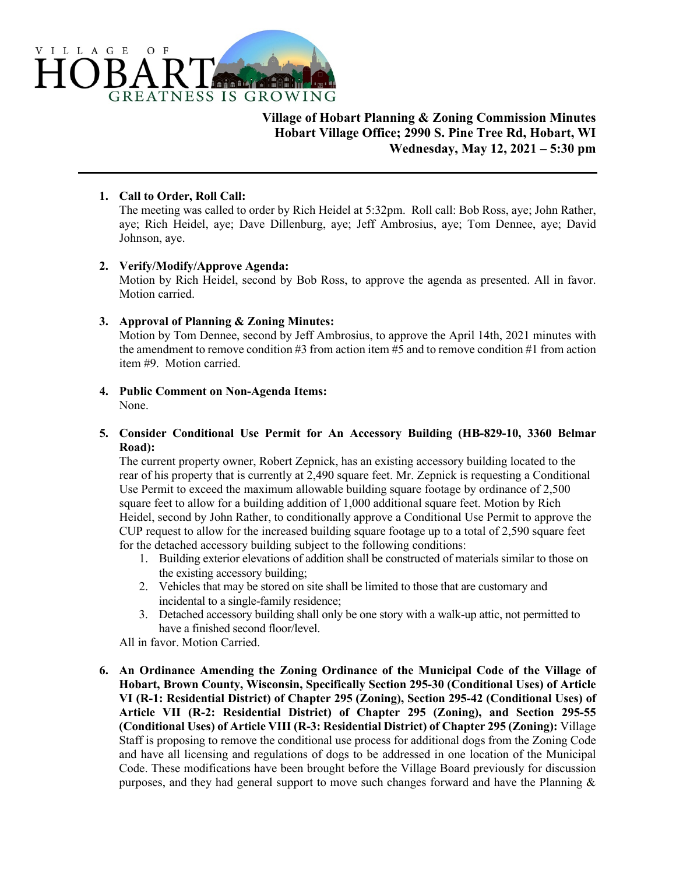

**Village of Hobart Planning & Zoning Commission Minutes Hobart Village Office; 2990 S. Pine Tree Rd, Hobart, WI Wednesday, May 12, 2021 – 5:30 pm**

# **1. Call to Order, Roll Call:**

The meeting was called to order by Rich Heidel at 5:32pm. Roll call: Bob Ross, aye; John Rather, aye; Rich Heidel, aye; Dave Dillenburg, aye; Jeff Ambrosius, aye; Tom Dennee, aye; David Johnson, aye.

# **2. Verify/Modify/Approve Agenda:**

Motion by Rich Heidel, second by Bob Ross, to approve the agenda as presented. All in favor. Motion carried.

# **3. Approval of Planning & Zoning Minutes:**

Motion by Tom Dennee, second by Jeff Ambrosius, to approve the April 14th, 2021 minutes with the amendment to remove condition #3 from action item  $\frac{1}{2}$  and to remove condition #1 from action item #9. Motion carried.

#### **4. Public Comment on Non-Agenda Items:** None.

- 
- **5. Consider Conditional Use Permit for An Accessory Building (HB-829-10, 3360 Belmar Road):**

The current property owner, Robert Zepnick, has an existing accessory building located to the rear of his property that is currently at 2,490 square feet. Mr. Zepnick is requesting a Conditional Use Permit to exceed the maximum allowable building square footage by ordinance of 2,500 square feet to allow for a building addition of 1,000 additional square feet. Motion by Rich Heidel, second by John Rather, to conditionally approve a Conditional Use Permit to approve the CUP request to allow for the increased building square footage up to a total of 2,590 square feet for the detached accessory building subject to the following conditions:

- 1. Building exterior elevations of addition shall be constructed of materials similar to those on the existing accessory building;
- 2. Vehicles that may be stored on site shall be limited to those that are customary and incidental to a single-family residence;
- 3. Detached accessory building shall only be one story with a walk-up attic, not permitted to have a finished second floor/level.

All in favor. Motion Carried.

**6. An Ordinance Amending the Zoning Ordinance of the Municipal Code of the Village of Hobart, Brown County, Wisconsin, Specifically Section 295-30 (Conditional Uses) of Article VI (R-1: Residential District) of Chapter 295 (Zoning), Section 295-42 (Conditional Uses) of Article VII (R-2: Residential District) of Chapter 295 (Zoning), and Section 295-55 (Conditional Uses) of Article VIII (R-3: Residential District) of Chapter 295 (Zoning):** Village Staff is proposing to remove the conditional use process for additional dogs from the Zoning Code and have all licensing and regulations of dogs to be addressed in one location of the Municipal Code. These modifications have been brought before the Village Board previously for discussion purposes, and they had general support to move such changes forward and have the Planning  $\&$